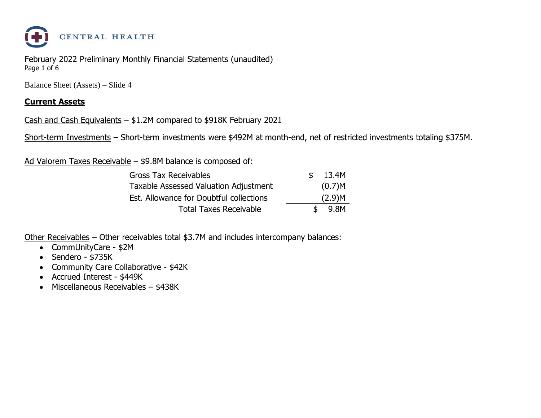

February 2022 Preliminary Monthly Financial Statements (unaudited) Page 1 of 6

Balance Sheet (Assets) – Slide 4

#### **Current Assets**

Cash and Cash Equivalents – \$1.2M compared to \$918K February 2021

Short-term Investments – Short-term investments were \$492M at month-end, net of restricted investments totaling \$375M.

Ad Valorem Taxes Receivable – \$9.8M balance is composed of:

| <b>Gross Tax Receivables</b>                 | \$13.4M |
|----------------------------------------------|---------|
| <b>Taxable Assessed Valuation Adjustment</b> | (0.7)M  |
| Est. Allowance for Doubtful collections      | (2.9)M  |
| <b>Total Taxes Receivable</b>                | 9.8M    |

Other Receivables – Other receivables total \$3.7M and includes intercompany balances:

- CommUnityCare \$2M
- Sendero \$735K
- Community Care Collaborative \$42K
- Accrued Interest \$449K
- Miscellaneous Receivables \$438K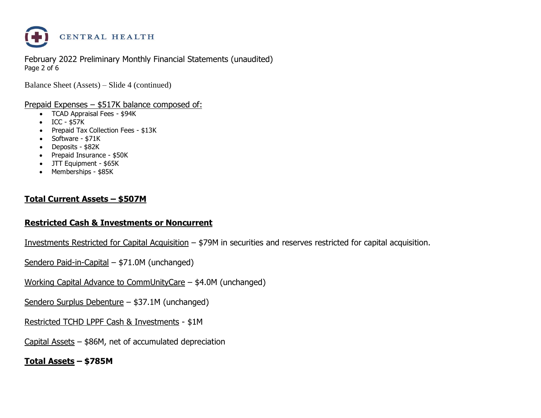

February 2022 Preliminary Monthly Financial Statements (unaudited) Page 2 of 6

Balance Sheet (Assets) – Slide 4 (continued)

#### Prepaid Expenses – \$517K balance composed of:

- TCAD Appraisal Fees \$94K
- ICC \$57K
- Prepaid Tax Collection Fees \$13K
- Software \$71K
- Deposits \$82K
- Prepaid Insurance \$50K
- JTT Equipment \$65K
- Memberships \$85K

#### **Total Current Assets – \$507M**

#### **Restricted Cash & Investments or Noncurrent**

Investments Restricted for Capital Acquisition – \$79M in securities and reserves restricted for capital acquisition.

Sendero Paid-in-Capital – \$71.0M (unchanged)

Working Capital Advance to CommUnityCare – \$4.0M (unchanged)

Sendero Surplus Debenture – \$37.1M (unchanged)

Restricted TCHD LPPF Cash & Investments - \$1M

Capital Assets – \$86M, net of accumulated depreciation

**Total Assets – \$785M**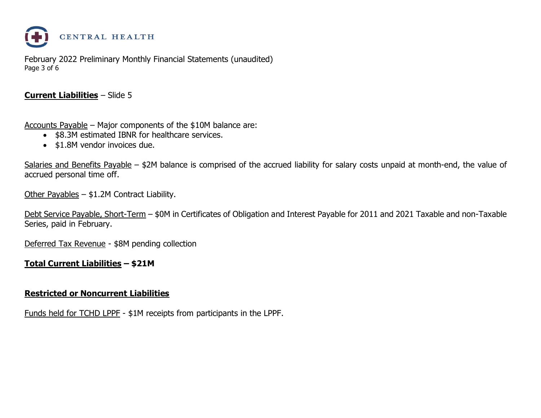

February 2022 Preliminary Monthly Financial Statements (unaudited) Page 3 of 6

#### **Current Liabilities** – Slide 5

Accounts Payable – Major components of the \$10M balance are:

- \$8.3M estimated IBNR for healthcare services.
- \$1.8M vendor invoices due.

Salaries and Benefits Payable – \$2M balance is comprised of the accrued liability for salary costs unpaid at month-end, the value of accrued personal time off.

Other Payables – \$1.2M Contract Liability.

Debt Service Payable, Short-Term – \$0M in Certificates of Obligation and Interest Payable for 2011 and 2021 Taxable and non-Taxable Series, paid in February.

Deferred Tax Revenue - \$8M pending collection

#### **Total Current Liabilities – \$21M**

#### **Restricted or Noncurrent Liabilities**

Funds held for TCHD LPPF - \$1M receipts from participants in the LPPF.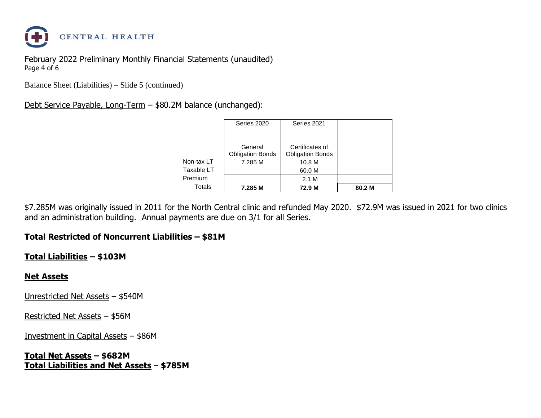

February 2022 Preliminary Monthly Financial Statements (unaudited) Page 4 of 6

Balance Sheet (Liabilities) – Slide 5 (continued)

### Debt Service Payable, Long-Term – \$80.2M balance (unchanged):

|            | Series 2020                        | Series 2021                                |        |
|------------|------------------------------------|--------------------------------------------|--------|
|            | General<br><b>Obligation Bonds</b> | Certificates of<br><b>Obligation Bonds</b> |        |
| Non-tax LT | 7.285 M                            | 10.8 M                                     |        |
| Taxable LT |                                    | 60.0 M                                     |        |
| Premium    |                                    | 2.1 M                                      |        |
| Totals     | 7.285 M                            | 72.9 M                                     | 80.2 M |

\$7.285M was originally issued in 2011 for the North Central clinic and refunded May 2020. \$72.9M was issued in 2021 for two clinics and an administration building. Annual payments are due on 3/1 for all Series.

#### **Total Restricted of Noncurrent Liabilities – \$81M**

#### **Total Liabilities – \$103M**

#### **Net Assets**

Unrestricted Net Assets – \$540M

Restricted Net Assets – \$56M

Investment in Capital Assets – \$86M

**Total Net Assets – \$682M Total Liabilities and Net Assets** – **\$785M**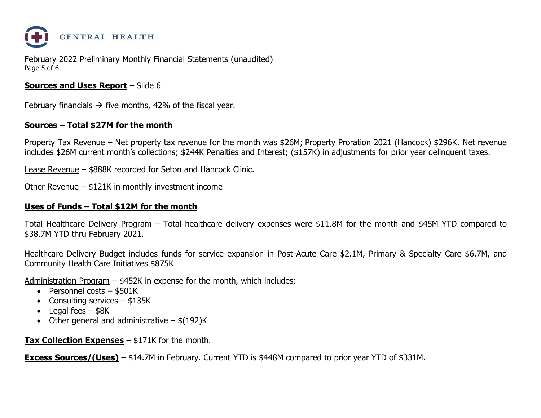

February 2022 Preliminary Monthly Financial Statements (unaudited) Page 5 of 6

#### **Sources and Uses Report** – Slide 6

February financials  $\rightarrow$  five months, 42% of the fiscal year.

#### **Sources – Total \$27M for the month**

Property Tax Revenue – Net property tax revenue for the month was \$26M; Property Proration 2021 (Hancock) \$296K. Net revenue includes \$26M current month's collections; \$244K Penalties and Interest; (\$157K) in adjustments for prior year delinquent taxes.

Lease Revenue – \$888K recorded for Seton and Hancock Clinic.

Other Revenue – \$121K in monthly investment income

#### **Uses of Funds – Total \$12M for the month**

Total Healthcare Delivery Program – Total healthcare delivery expenses were \$11.8M for the month and \$45M YTD compared to \$38.7M YTD thru February 2021.

Healthcare Delivery Budget includes funds for service expansion in Post-Acute Care \$2.1M, Primary & Specialty Care \$6.7M, and Community Health Care Initiatives \$875K

Administration Program – \$452K in expense for the month, which includes:

- Personnel costs \$501K
- Consulting services  $-$  \$135K
- Legal fees  $-$  \$8K
- Other general and administrative  $-$  \$(192)K

**Tax Collection Expenses** – \$171K for the month.

**Excess Sources/(Uses)** – \$14.7M in February. Current YTD is \$448M compared to prior year YTD of \$331M.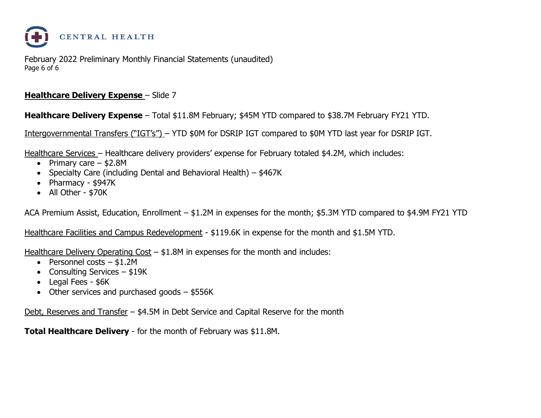

February 2022 Preliminary Monthly Financial Statements (unaudited) Page 6 of 6

#### **Healthcare Delivery Expense - Slide 7**

**Healthcare Delivery Expense** – Total \$11.8M February; \$45M YTD compared to \$38.7M February FY21 YTD.

Intergovernmental Transfers ("IGT's") – YTD \$0M for DSRIP IGT compared to \$0M YTD last year for DSRIP IGT.

Healthcare Services – Healthcare delivery providers' expense for February totaled \$4.2M, which includes:

- Primary care  $-$  \$2.8M
- Specialty Care (including Dental and Behavioral Health) \$467K
- Pharmacy \$947K
- All Other \$70K

ACA Premium Assist, Education, Enrollment – \$1.2M in expenses for the month; \$5.3M YTD compared to \$4.9M FY21 YTD

Healthcare Facilities and Campus Redevelopment - \$119.6K in expense for the month and \$1.5M YTD.

Healthcare Delivery Operating Cost - \$1.8M in expenses for the month and includes:

- Personnel costs \$1.2M
- Consulting Services \$19K
- Legal Fees \$6K
- Other services and purchased goods \$556K

Debt, Reserves and Transfer – \$4.5M in Debt Service and Capital Reserve for the month

**Total Healthcare Delivery** - for the month of February was \$11.8M.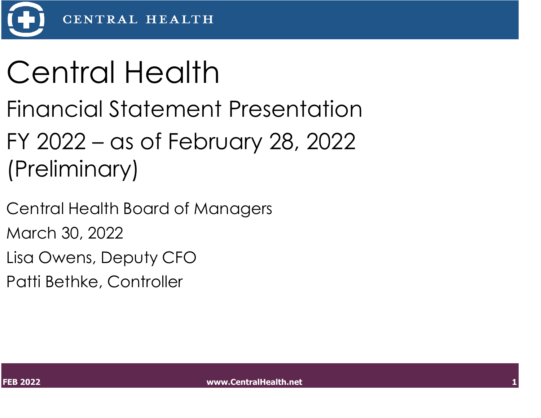

# Central Health

- Financial Statement Presentation
- FY 2022 as of February 28, 2022 (Preliminary)
- Central Health Board of Managers March 30, 2022
- Lisa Owens, Deputy CFO
- Patti Bethke, Controller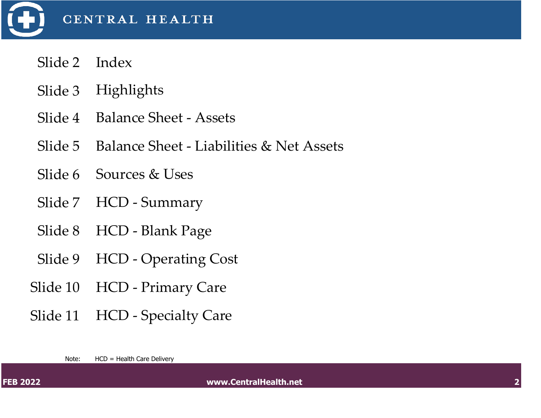

- Slide 2 Index
- Slide 3 Highlights
- Slide 4 Balance Sheet Assets
- Slide 5 Balance Sheet Liabilities & Net Assets
- Slide 6 Sources & Uses
- Slide 7 HCD Summary
- Slide 8 HCD Blank Page
- Slide 9 HCD Operating Cost
- Slide 10 HCD Primary Care
- Slide 11 HCD Specialty Care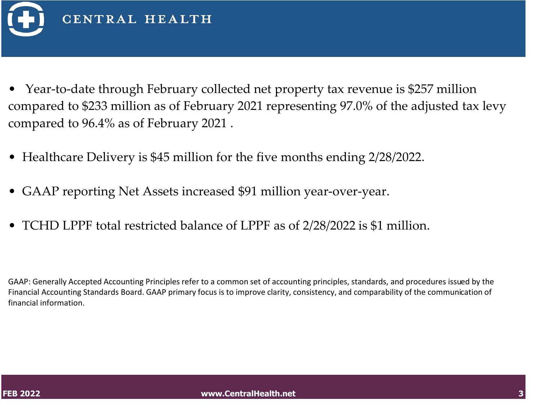

- Year-to-date through February collected net property tax revenue is \$257 million compared to \$233 million as of February 2021 representing 97.0% of the adjusted tax levy compared to 96.4% as of February 2021 .
- Healthcare Delivery is \$45 million for the five months ending 2/28/2022.
- GAAP reporting Net Assets increased \$91 million year-over-year.
- TCHD LPPF total restricted balance of LPPF as of 2/28/2022 is \$1 million.

GAAP: Generally Accepted Accounting Principles refer to a common set of accounting principles, standards, and procedures issued by the Financial Accounting Standards Board. GAAP primary focus is to improve clarity, consistency, and comparability of the communication of financial information.

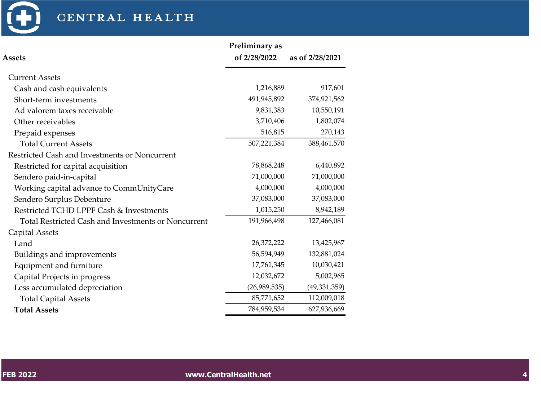

|                                                            | Preliminary as |                 |
|------------------------------------------------------------|----------------|-----------------|
| <b>Assets</b>                                              | of 2/28/2022   | as of 2/28/2021 |
| <b>Current Assets</b>                                      |                |                 |
| Cash and cash equivalents                                  | 1,216,889      | 917,601         |
| Short-term investments                                     | 491,945,892    | 374,921,562     |
| Ad valorem taxes receivable                                | 9,831,383      | 10,550,191      |
| Other receivables                                          | 3,710,406      | 1,802,074       |
| Prepaid expenses                                           | 516,815        | 270,143         |
| <b>Total Current Assets</b>                                | 507,221,384    | 388,461,570     |
| Restricted Cash and Investments or Noncurrent              |                |                 |
| Restricted for capital acquisition                         | 78,868,248     | 6,440,892       |
| Sendero paid-in-capital                                    | 71,000,000     | 71,000,000      |
| Working capital advance to CommUnityCare                   | 4,000,000      | 4,000,000       |
| Sendero Surplus Debenture                                  | 37,083,000     | 37,083,000      |
| Restricted TCHD LPPF Cash & Investments                    | 1,015,250      | 8,942,189       |
| <b>Total Restricted Cash and Investments or Noncurrent</b> | 191,966,498    | 127,466,081     |
| Capital Assets                                             |                |                 |
| Land                                                       | 26,372,222     | 13,425,967      |
| Buildings and improvements                                 | 56,594,949     | 132,881,024     |
| Equipment and furniture                                    | 17,761,345     | 10,030,421      |
| Capital Projects in progress                               | 12,032,672     | 5,002,965       |
| Less accumulated depreciation                              | (26,989,535)   | (49, 331, 359)  |
| <b>Total Capital Assets</b>                                | 85,771,652     | 112,009,018     |
| <b>Total Assets</b>                                        | 784,959,534    | 627,936,669     |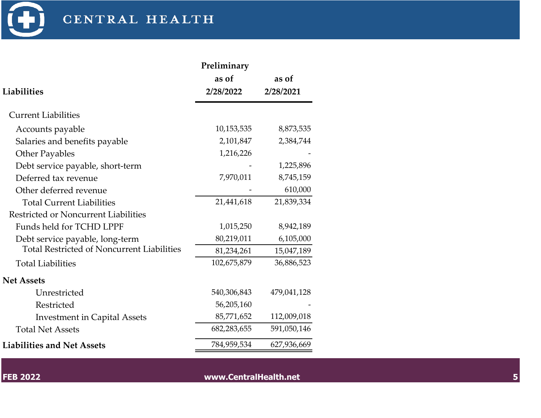

|                                                   | Preliminary<br>as of | as of       |
|---------------------------------------------------|----------------------|-------------|
| Liabilities                                       | 2/28/2022            | 2/28/2021   |
| <b>Current Liabilities</b>                        |                      |             |
| Accounts payable                                  | 10,153,535           | 8,873,535   |
| Salaries and benefits payable                     | 2,101,847            | 2,384,744   |
| <b>Other Payables</b>                             | 1,216,226            |             |
| Debt service payable, short-term                  |                      | 1,225,896   |
| Deferred tax revenue                              | 7,970,011            | 8,745,159   |
| Other deferred revenue                            |                      | 610,000     |
| <b>Total Current Liabilities</b>                  | 21,441,618           | 21,839,334  |
| Restricted or Noncurrent Liabilities              |                      |             |
| Funds held for TCHD LPPF                          | 1,015,250            | 8,942,189   |
| Debt service payable, long-term                   | 80,219,011           | 6,105,000   |
| <b>Total Restricted of Noncurrent Liabilities</b> | 81,234,261           | 15,047,189  |
| <b>Total Liabilities</b>                          | 102,675,879          | 36,886,523  |
| <b>Net Assets</b>                                 |                      |             |
| Unrestricted                                      | 540,306,843          | 479,041,128 |
| Restricted                                        | 56,205,160           |             |
| <b>Investment in Capital Assets</b>               | 85,771,652           | 112,009,018 |
| <b>Total Net Assets</b>                           | 682,283,655          | 591,050,146 |
| <b>Liabilities and Net Assets</b>                 | 784,959,534          | 627,936,669 |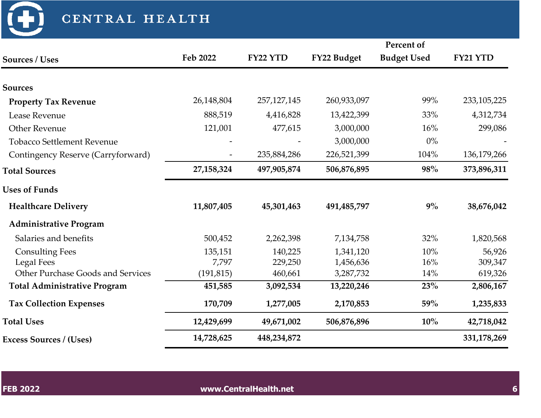| CENTRAL HEALTH                      |              |               |             |                    |             |
|-------------------------------------|--------------|---------------|-------------|--------------------|-------------|
|                                     |              |               |             | Percent of         |             |
| <b>Sources / Uses</b>               | Feb 2022     | FY22 YTD      | FY22 Budget | <b>Budget Used</b> | FY21 YTD    |
| <b>Sources</b>                      |              |               |             |                    |             |
| <b>Property Tax Revenue</b>         | 26,148,804   | 257, 127, 145 | 260,933,097 | 99%                | 233,105,225 |
| Lease Revenue                       | 888,519      | 4,416,828     | 13,422,399  | 33%                | 4,312,734   |
| <b>Other Revenue</b>                | 121,001      | 477,615       | 3,000,000   | 16%                | 299,086     |
| <b>Tobacco Settlement Revenue</b>   |              |               | 3,000,000   | $0\%$              |             |
| Contingency Reserve (Carryforward)  |              | 235,884,286   | 226,521,399 | 104%               | 136,179,266 |
| <b>Total Sources</b>                | 27, 158, 324 | 497,905,874   | 506,876,895 | 98%                | 373,896,311 |
| <b>Uses of Funds</b>                |              |               |             |                    |             |
| <b>Healthcare Delivery</b>          | 11,807,405   | 45,301,463    | 491,485,797 | 9%                 | 38,676,042  |
| <b>Administrative Program</b>       |              |               |             |                    |             |
| Salaries and benefits               | 500,452      | 2,262,398     | 7,134,758   | 32%                | 1,820,568   |
| <b>Consulting Fees</b>              | 135,151      | 140,225       | 1,341,120   | 10%                | 56,926      |
| <b>Legal Fees</b>                   | 7,797        | 229,250       | 1,456,636   | 16%                | 309,347     |
| Other Purchase Goods and Services   | (191, 815)   | 460,661       | 3,287,732   | 14%                | 619,326     |
| <b>Total Administrative Program</b> | 451,585      | 3,092,534     | 13,220,246  | 23%                | 2,806,167   |
| <b>Tax Collection Expenses</b>      | 170,709      | 1,277,005     | 2,170,853   | 59%                | 1,235,833   |
| <b>Total Uses</b>                   | 12,429,699   | 49,671,002    | 506,876,896 | $10\%$             | 42,718,042  |
| <b>Excess Sources / (Uses)</b>      | 14,728,625   | 448,234,872   |             |                    | 331,178,269 |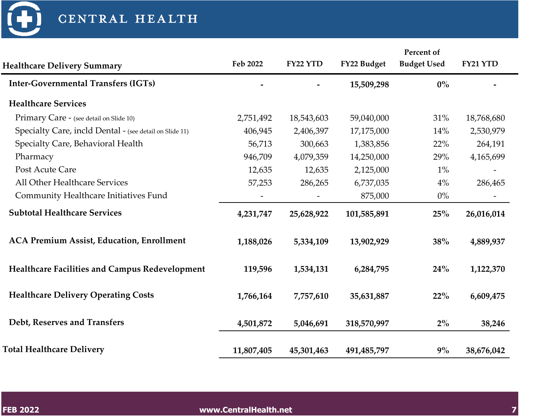| <b>Healthcare Delivery Summary</b>                      | Feb 2022   | FY22 YTD   | FY22 Budget   | Percent of<br><b>Budget Used</b> | FY21 YTD   |
|---------------------------------------------------------|------------|------------|---------------|----------------------------------|------------|
| <b>Inter-Governmental Transfers (IGTs)</b>              |            |            | 15,509,298    | $0\%$                            |            |
| <b>Healthcare Services</b>                              |            |            |               |                                  |            |
| Primary Care - (see detail on Slide 10)                 | 2,751,492  | 18,543,603 | 59,040,000    | 31%                              | 18,768,680 |
| Specialty Care, incld Dental - (see detail on Slide 11) | 406,945    | 2,406,397  | 17,175,000    | 14%                              | 2,530,979  |
| Specialty Care, Behavioral Health                       | 56,713     | 300,663    | 1,383,856     | 22%                              | 264,191    |
| Pharmacy                                                | 946,709    | 4,079,359  | 14,250,000    | 29%                              | 4,165,699  |
| Post Acute Care                                         | 12,635     | 12,635     | 2,125,000     | $1\%$                            |            |
| All Other Healthcare Services                           | 57,253     | 286,265    | 6,737,035     | $4\%$                            | 286,465    |
| Community Healthcare Initiatives Fund                   |            |            | 875,000       | $0\%$                            |            |
| <b>Subtotal Healthcare Services</b>                     | 4,231,747  | 25,628,922 | 101,585,891   | 25%                              | 26,016,014 |
| <b>ACA Premium Assist, Education, Enrollment</b>        | 1,188,026  | 5,334,109  | 13,902,929    | 38%                              | 4,889,937  |
| Healthcare Facilities and Campus Redevelopment          | 119,596    | 1,534,131  | 6,284,795     | 24%                              | 1,122,370  |
| <b>Healthcare Delivery Operating Costs</b>              | 1,766,164  | 7,757,610  | 35,631,887    | 22%                              | 6,609,475  |
| Debt, Reserves and Transfers                            | 4,501,872  | 5,046,691  | 318,570,997   | $2\%$                            | 38,246     |
| <b>Total Healthcare Delivery</b>                        | 11,807,405 | 45,301,463 | 491, 485, 797 | $9\%$                            | 38,676,042 |

 $\bigoplus$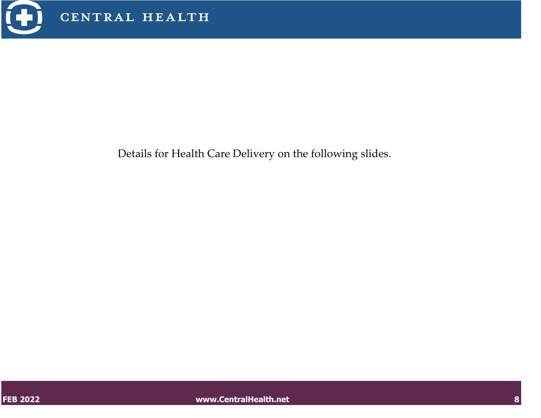

Details for Health Care Delivery on the following slides.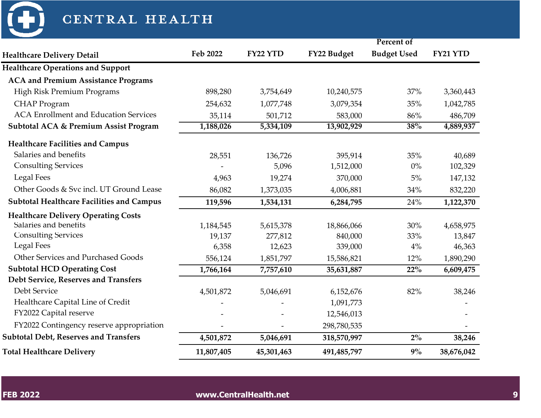

| CENTRAL HEALTH                                   |            |            |             |                    |            |
|--------------------------------------------------|------------|------------|-------------|--------------------|------------|
|                                                  |            |            |             | Percent of         |            |
| <b>Healthcare Delivery Detail</b>                | Feb 2022   | FY22 YTD   | FY22 Budget | <b>Budget Used</b> | FY21 YTD   |
| <b>Healthcare Operations and Support</b>         |            |            |             |                    |            |
| <b>ACA and Premium Assistance Programs</b>       |            |            |             |                    |            |
| High Risk Premium Programs                       | 898,280    | 3,754,649  | 10,240,575  | 37%                | 3,360,443  |
| <b>CHAP</b> Program                              | 254,632    | 1,077,748  | 3,079,354   | 35%                | 1,042,785  |
| <b>ACA Enrollment and Education Services</b>     | 35,114     | 501,712    | 583,000     | 86%                | 486,709    |
| <b>Subtotal ACA &amp; Premium Assist Program</b> | 1,188,026  | 5,334,109  | 13,902,929  | 38%                | 4,889,937  |
| <b>Healthcare Facilities and Campus</b>          |            |            |             |                    |            |
| Salaries and benefits                            | 28,551     | 136,726    | 395,914     | 35%                | 40,689     |
| <b>Consulting Services</b>                       |            | 5,096      | 1,512,000   | $0\%$              | 102,329    |
| <b>Legal Fees</b>                                | 4,963      | 19,274     | 370,000     | $5\%$              | 147,132    |
| Other Goods & Svc incl. UT Ground Lease          | 86,082     | 1,373,035  | 4,006,881   | 34%                | 832,220    |
| <b>Subtotal Healthcare Facilities and Campus</b> | 119,596    | 1,534,131  | 6,284,795   | 24%                | 1,122,370  |
| <b>Healthcare Delivery Operating Costs</b>       |            |            |             |                    |            |
| Salaries and benefits                            | 1,184,545  | 5,615,378  | 18,866,066  | 30%                | 4,658,975  |
| <b>Consulting Services</b>                       | 19,137     | 277,812    | 840,000     | 33%                | 13,847     |
| <b>Legal Fees</b>                                | 6,358      | 12,623     | 339,000     | $4\%$              | 46,363     |
| Other Services and Purchased Goods               | 556,124    | 1,851,797  | 15,586,821  | 12%                | 1,890,290  |
| <b>Subtotal HCD Operating Cost</b>               | 1,766,164  | 7,757,610  | 35,631,887  | 22%                | 6,609,475  |
| Debt Service, Reserves and Transfers             |            |            |             |                    |            |
| Debt Service                                     | 4,501,872  | 5,046,691  | 6,152,676   | 82%                | 38,246     |
| Healthcare Capital Line of Credit                |            |            | 1,091,773   |                    |            |
| FY2022 Capital reserve                           |            |            | 12,546,013  |                    |            |
| FY2022 Contingency reserve appropriation         |            |            | 298,780,535 |                    |            |
| <b>Subtotal Debt, Reserves and Transfers</b>     | 4,501,872  | 5,046,691  | 318,570,997 | $2\%$              | 38,246     |
| <b>Total Healthcare Delivery</b>                 | 11,807,405 | 45,301,463 | 491,485,797 | $9\%$              | 38,676,042 |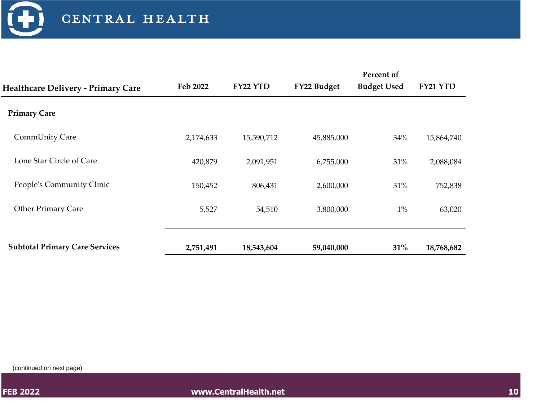

|                                           |           |            |             | Percent of         |            |
|-------------------------------------------|-----------|------------|-------------|--------------------|------------|
| <b>Healthcare Delivery - Primary Care</b> | Feb 2022  | FY22 YTD   | FY22 Budget | <b>Budget Used</b> | FY21 YTD   |
| <b>Primary Care</b>                       |           |            |             |                    |            |
| CommUnity Care                            | 2,174,633 | 15,590,712 | 45,885,000  | 34%                | 15,864,740 |
| Lone Star Circle of Care                  | 420,879   | 2,091,951  | 6,755,000   | 31%                | 2,088,084  |
| People's Community Clinic                 | 150,452   | 806,431    | 2,600,000   | 31%                | 752,838    |
| <b>Other Primary Care</b>                 | 5,527     | 54,510     | 3,800,000   | $1\%$              | 63,020     |
|                                           |           |            |             |                    |            |
| <b>Subtotal Primary Care Services</b>     | 2,751,491 | 18,543,604 | 59,040,000  | 31%                | 18,768,682 |

(continued on next page)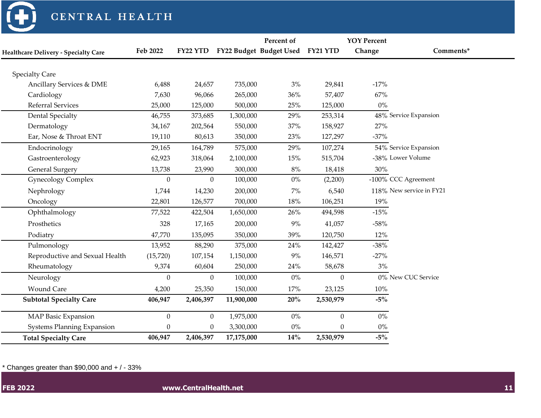

|                                             |                |                 |            | Percent of                       |                  | <b>YOY Percent</b> |                          |
|---------------------------------------------|----------------|-----------------|------------|----------------------------------|------------------|--------------------|--------------------------|
| <b>Healthcare Delivery - Specialty Care</b> | Feb 2022       | <b>FY22 YTD</b> |            | FY22 Budget Budget Used FY21 YTD |                  | Change             | Comments*                |
|                                             |                |                 |            |                                  |                  |                    |                          |
| <b>Specialty Care</b>                       |                |                 |            |                                  |                  |                    |                          |
| Ancillary Services & DME                    | 6,488          | 24,657          | 735,000    | 3%                               | 29,841           | $-17%$             |                          |
| Cardiology                                  | 7,630          | 96,066          | 265,000    | 36%                              | 57,407           | 67%                |                          |
| Referral Services                           | 25,000         | 125,000         | 500,000    | 25%                              | 125,000          | $0\%$              |                          |
| <b>Dental Specialty</b>                     | 46,755         | 373,685         | 1,300,000  | 29%                              | 253,314          |                    | 48% Service Expansion    |
| Dermatology                                 | 34,167         | 202,564         | 550,000    | 37%                              | 158,927          | 27%                |                          |
| Ear, Nose & Throat ENT                      | 19,110         | 80,613          | 350,000    | 23%                              | 127,297          | $-37%$             |                          |
| Endocrinology                               | 29,165         | 164,789         | 575,000    | 29%                              | 107,274          |                    | 54% Service Expansion    |
| Gastroenterology                            | 62,923         | 318,064         | 2,100,000  | 15%                              | 515,704          |                    | -38% Lower Volume        |
| <b>General Surgery</b>                      | 13,738         | 23,990          | 300,000    | $8\%$                            | 18,418           | 30%                |                          |
| <b>Gynecology Complex</b>                   | $\theta$       | $\overline{0}$  | 100,000    | $0\%$                            | (2,200)          |                    | -100% CCC Agreement      |
| Nephrology                                  | 1,744          | 14,230          | 200,000    | $7\%$                            | 6,540            |                    | 118% New service in FY21 |
| Oncology                                    | 22,801         | 126,577         | 700,000    | 18%                              | 106,251          | 19%                |                          |
| Ophthalmology                               | 77,522         | 422,504         | 1,650,000  | 26%                              | 494,598          | $-15%$             |                          |
| Prosthetics                                 | 328            | 17,165          | 200,000    | 9%                               | 41,057           | $-58%$             |                          |
| Podiatry                                    | 47,770         | 135,095         | 350,000    | 39%                              | 120,750          | 12%                |                          |
| Pulmonology                                 | 13,952         | 88,290          | 375,000    | 24%                              | 142,427          | $-38%$             |                          |
| Reproductive and Sexual Health              | (15,720)       | 107,154         | 1,150,000  | 9%                               | 146,571          | $-27%$             |                          |
| Rheumatology                                | 9,374          | 60,604          | 250,000    | 24%                              | 58,678           | 3%                 |                          |
| Neurology                                   | $\overline{0}$ | $\overline{0}$  | 100,000    | $0\%$                            | $\mathbf{0}$     |                    | 0% New CUC Service       |
| <b>Wound Care</b>                           | 4,200          | 25,350          | 150,000    | 17%                              | 23,125           | 10%                |                          |
| <b>Subtotal Specialty Care</b>              | 406,947        | 2,406,397       | 11,900,000 | $20\%$                           | 2,530,979        | $-5%$              |                          |
| <b>MAP Basic Expansion</b>                  | $\theta$       | $\mathbf{0}$    | 1,975,000  | $0\%$                            | $\boldsymbol{0}$ | $0\%$              |                          |
| <b>Systems Planning Expansion</b>           | $\theta$       | 0               | 3,300,000  | $0\%$                            | $\boldsymbol{0}$ | $0\%$              |                          |
| <b>Total Specialty Care</b>                 | 406,947        | 2,406,397       | 17,175,000 | 14%                              | 2,530,979        | $-5%$              |                          |

 $*$  Changes greater than \$90,000 and  $+$  / - 33%